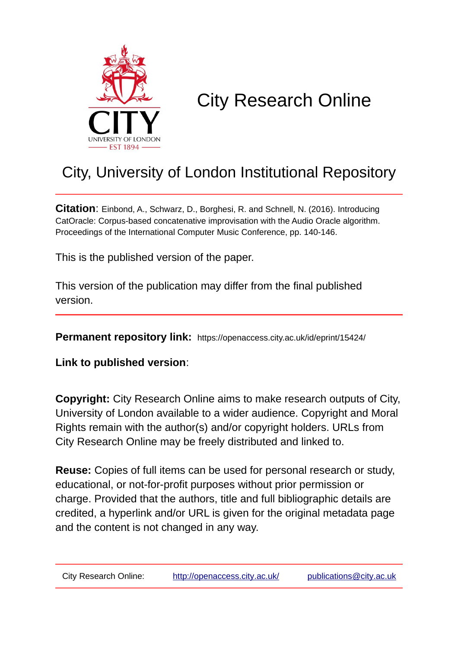

# City Research Online

## City, University of London Institutional Repository

**Citation**: Einbond, A., Schwarz, D., Borghesi, R. and Schnell, N. (2016). Introducing CatOracle: Corpus-based concatenative improvisation with the Audio Oracle algorithm. Proceedings of the International Computer Music Conference, pp. 140-146.

This is the published version of the paper.

This version of the publication may differ from the final published version.

**Permanent repository link:** https://openaccess.city.ac.uk/id/eprint/15424/

**Link to published version**:

**Copyright:** City Research Online aims to make research outputs of City, University of London available to a wider audience. Copyright and Moral Rights remain with the author(s) and/or copyright holders. URLs from City Research Online may be freely distributed and linked to.

**Reuse:** Copies of full items can be used for personal research or study, educational, or not-for-profit purposes without prior permission or charge. Provided that the authors, title and full bibliographic details are credited, a hyperlink and/or URL is given for the original metadata page and the content is not changed in any way.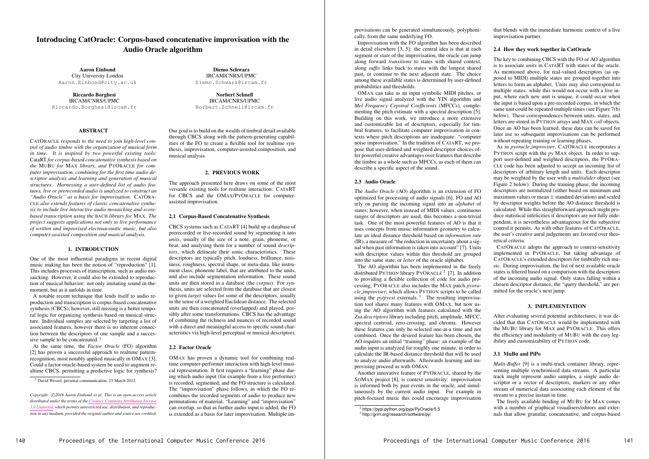## Introducing CatOracle: Corpus-based concatenative improvisation with the Audio Oracle algorithm

Aaron Einbond City University London Aaron.Einbond@city.ac.uk

Diemo Schwarz IRCAM/CNRS/UPMC Diemo.Schwarz@ircam.fr

Riccardo Borghesi IRCAM/CNRS/UPMC Riccardo.Borghesi@ircam.fr

### **ABSTRACT**

Norbert Schnell IRCAM/CNRS/UPMC Norbert.Schnell@ircam.fr

A notable recent technique that lends itself to audio reproduction and transcription is corpus-based concatenative synthesis (CBCS); however, still missing is a better temporal logic for organizing synthesis based on musical structure. Individual samples are selected by targeting a list of associated features, however there is no inherent connection between the descriptors of one sample and a successive sample to be concatenated.<sup>1</sup>

CATORACLE *responds to the need to join high-level control of audio timbre with the organization of musical form in time. It is inspired by two powerful existing tools:* CataRT *for corpus-based concatenative synthesis based on the* MUBU *for* MAX *library, and* PYORACLE *for computer improvisation, combining for the first time audio descriptor analysis and learning and generation of musical structures. Harnessing a user-defined list of audio features, live or prerecorded audio is analyzed to construct an "Audio Oracle" as a basis for improvisation.* CATORA-CLE *also extends features of classic concatenative synthesis to include live interactive audio mosaicking and scorebased transcription using the* BACH *library for* MAX*. The project suggests applications not only to live performance of written and improvised electroacoustic music, but also computer-assisted composition and musical analysis.*

#### 1. INTRODUCTION

One of the most influential paradigms in recent digital music making has been the notion of "reproduction" [1]. This includes processes of transcription, such as audio mosaicking. However, it could also be extended to reproduction of musical behavior: not only imitating sound in-themoment, but as it unfolds in time.

At the same time, the *Factor Oracle* (FO) algorithm [2] has proven a successful approach to realtime patternrecognition, most notably applied musically in OMAX [3]. Could a factor-oracle-based system be used to augment realtime CBCS, permitting a predictive logic for synthesis?

<sup>1</sup> David Wessel, personal communication, 23 March 2012.

Our goal is to build on the wealth of timbral detail available through CBCS along with the pattern-generating capabilities of the FO to create a flexible tool for realtime synthesis, improvisation, computer-assisted composition, and musical analysis.

#### 2. PREVIOUS WORK

The approach presented here draws on some of the most versatile existing tools for realtime interaction: CATART for CBCS and the OMAX/PYORACLE for computerassisted improvisation.

#### 2.1 Corpus-Based Concatenative Synthesis

CBCS systems such as CATART [4] build up a database of prerecorded or live-recorded sound by segmenting it into *units*, usually of the size of a note, grain, phoneme, or beat, and analysing them for a number of sound *descriptors*, which delineate their sonic characteristics. These descriptors are typically pitch, loudness, brilliance, noisiness, roughness, spectral shape, or meta-data, like instrument class, phoneme label, that are attributed to the units, and also include segmentation information. These sound units are then stored in a database (the *corpus*). For synthesis, units are selected from the database that are closest to given *target* values for some of the descriptors, usually in the sense of a weighted Euclidean distance. The selected units are then concatenated (overlapped) and played, possibly after some transformations. CBCS has the advantage of combining the richness and nuances of recorded sound with a direct and meaningful access to specific sound characteristics via high-level perceptual or musical descriptors.

#### 2.2 Factor Oracle

OMAX has proven a dynamic tool for combining realtime computer-performer interaction with high-level musical representation. It first requires a "learning" phase during which audio input (for example from a live performer) is recorded, segmented, and the FO structure is calculated. The "improvisation" phase follows, in which the FO recombines the recorded segments of audio to produce new permutations of material. "Learning" and "improvisation" can overlap, so that as further audio input is added, the FO is extended as a basis for later improvisation. Multiple im-

provisations can be generated simultaneously, polyphonically, from the same underlying FO.

Improvisation with the FO algorithm has been described in detail elsewhere [3, 5]: the central idea is that at each segment or *state* of the improvisation, the oracle can jump along forward *transitions* to states with shared context, along *suffix* links back to states with the longest shared past, or continue to the next adjacent state. The choice among these available states is determined by user-defined probabilities and thresholds.

OMAX can take as an input symbolic MIDI pitches, or live audio signal analyzed with the YIN algorithm and *Mel Frequency Cepstral Coefficients* (MFCCs), complementing the pitch estimate with a spectral description [5]. Building on this work, we introduce a more extensive and customizable list of descriptors, especially for timbral features, to facilitate computer improvisation in contexts where pitch descriptions are inadequate: "computer noise improvisation." In the tradition of CATART, we propose that user-defined and weighted descriptor choices offer powerful creative advantages over features that describe the timbre as a whole such as MFCCs, as each of them can describe a specific aspect of the sound.

#### 2.3 Audio Oracle

The *Audio Oracle* (AO) algorithm is an extension of FO optimized for processing of audio signals [6]. FO and AO rely on parsing the incoming signal into an *alphabet* of states; however, when instead of MIDI values, continuous ranges of descriptors are used, this becomes a non-trivial task. One of the most powerful features of AO is that it uses concepts from music information geometry to calculate an ideal distance threshold based on *information rate* (IR), a measure of "the reduction in uncertainty about a signal when past information is taken into account" [7]. Units with descriptor values within this threshold are grouped into the same state, or *letter* of the oracle alphabet.

The AO algorithm has been implemented in the freely distributed PYTHON library PYORACLE<sup>2</sup> [7]. In addition to providing a flexible collection of code for audio processing, PYORACLE also includes the MAX patch *pyoracle improviser*, which allows PYTHON scripts to be called using the *py/pyext* externals.<sup>3</sup> The resulting improvisation tool shares many features with OMAX, but now using the AO algorithm with features calculated with the *Zsa.descriptors* library including pitch, amplitude, MFCC, spectral centroid, zero-crossing, and chroma. However these features can only be selected one-at-a time and not combined. Once the desired feature has been chosen, the AO requires an initial "training" phase: an example of the audio input is analyzed for roughly one minute, in order to calculate the IR-based distance threshold that will be used to analyze audio afterwards. Afterwards learning and improvising proceed as with OMAX.

Another innovative feature of PYORACLE, shared by the SOMAX project [8], is context sensitivity: improvisation is informed both by past events in the oracle, and simultaneously by the current audio input. For example in pitch-focused music this could encourage improvisation that blends with the immediate harmonic context of a live improvisation partner.

#### 2.4 How they work together in CatOracle

The key to combining CBCS with the FO or AO algorithm is to associate *units* in CATART with states of the oracle. As mentioned above, for real-valued descriptors (as opposed to MIDI) multiple states are grouped together into letters to form an alphabet. Units may also correspond to multiple states: while this would not occur with a live input, where each new unit is unique, it could occur when the input is based upon a pre-recorded corpus, in which the same unit could be repeated multiple times (see Figure 7(b) below). These correspondences between units, states, and letters are stored in PYTHON arrays and MAX *coll* objects. Once an AO has been learned, these data can be saved for later use so subsequent improvisations can be performed without repeating training or learning phases.

As in *pyoracle improviser*, CATORACLE incorporates a PYTHON script with the *py* MAX object. In order to support user-defined and weighted descriptors, the PYORA-CLE code has been adjusted to accept an incoming list of descriptors of arbitrary length and units. Each descriptor may be weighted by the user with a *multislider* object (see Figure 2 below). During the training phase, the incoming descriptors are normalized (either based on minimum and maximum values or mean *±* standard deviation) and scaled by descriptor weights before the AO distance threshold is calculated. While this straightforward approach might produce statistical infelicities if descriptors are not fully independent, it is nevertheless advantageous for the subjective control it permits. As with other features of CATORACLE, the user's creative aural judgements are favored over theoretical criteria.

CATORACLE adopts the approach to context-sensitivity implemented in PYORACLE, but taking advantage of CATORACLE's extended descriptors for timbrally rich music. During improvisation, the list of next available oracle states is filtered based on a comparison with the descriptors of the incoming audio signal. Only states falling within a chosen descriptor distance, the "query threshold," are permitted for the oracle's next jump.

#### 3. IMPLEMENTATION

After evaluating several potential architectures, it was decided that that CATORACLE would be implemented with the MUBU library for MAX and PYORACLE. This offers the efficiency and modularity of MUBU with the easy legibility and customizability of PYTHON code.

### 3.1 MuBu and PiPo

*Multi-Buffer* [9] is a multi-track container library, representing multiple synchronised data streams. A particular track might represent audio samples, a single audio descriptor or a vector of descriptors, markers or any other stream of numerical data associating each element of the stream to a precise instant in time.

The freely available binding of MUBU for MAX comes with a number of graphical visualisers/editors and externals that allow granular, concatenative, and corpus-based

*Copyright:*  $\bigcirc$  *C* $2016$  *Aaron Einbond et al. This is an open-access article distributed under the terms of the Creative Commons Attribution License 3.0 Unported, which permits unrestricted use, distribution, and reproduction in any medium, provided the original author and source are credited.*

<sup>&</sup>lt;sup>2</sup> https://pypi.python.org/pypi/PyOracle/5.5

<sup>3</sup> http://grrrr.org/research/software/py/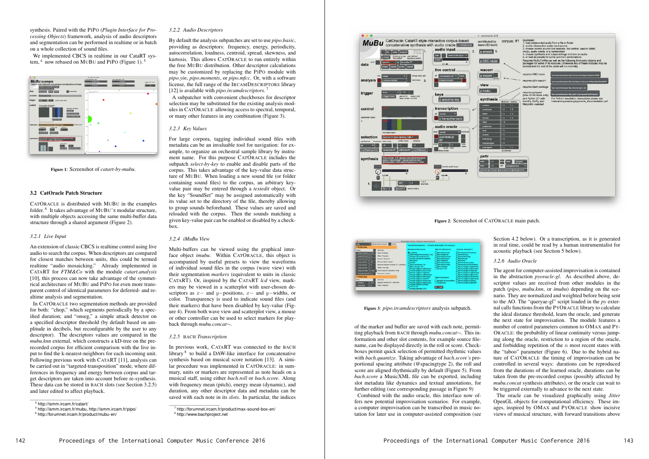synthesis. Paired with the PIPO (*Plugin Interface for Processing Objects*) framework, analysis of audio descriptors and segmentation can be performed in realtime or in batch on a whole collection of sound files.

We implemented CBCS in realtime in our CataRT system,  $4\text{ now rebased on MUBU and PIPo (Figure 1).}$ <sup>5</sup>



Figure 1: Screenshot of *catart-by-mubu*.

#### 3.2 CatOracle Patch Structure

CATORACLE is distributed with MUBU in the examples folder. <sup>6</sup> It takes advantage of MUBU'S modular structure, with multiple objects accessing the same multi-buffer data structure through a shared argument (Figure 2).

#### *3.2.1 Live Input*

An extension of classic CBCS is realtime control using live audio to search the corpus. When descriptors are compared for closest matches between units, this could be termed realtime "audio mosaicking." Already implemented in CATART for *FTM&Co* with the module *catart.analysis* [10], this process can now take advantage of the symmetrical architecture of MUBU and PIPO for even more transparent control of identical parameters for deferred- and realtime analysis and segmentation.

In CATORACLE two segmentation methods are provided for both: "chop," which segments periodically by a specified duration; and "onseg," a simple attack detector on a specified descriptor threshold (by default based on amplitude in decibels, but reconfigurable by the user to any descriptor). The descriptors values are compared in the *mubu.knn* external, which constructs a kD-tree on the prerecorded corpus for efficient comparison with the live input to find the k-nearest-neighbors for each incoming unit. Following previous work with CATART [11], analysis can be carried out in "targeted-transposition" mode, where differences in frequency and energy between corpus and target descriptors are taken into account before re-synthesis. These data can be stored in BACH slots (see Section 3.2.5) and later edited to affect playback.

#### *3.2.2 Audio Descriptors*

By default the analysis subpatches are set to use *pipo.basic*, providing as descriptors: frequency, energy, periodicity, autocorrelation, loudness, centroid, spread, skewness, and kurtosis. This allows CATORACLE to run entirely within the free MUBU distribution. Other descriptor calculations may be customized by replacing the PIPO module with *pipo.yin*, *pipo.moments*, or *pipo.mfcc*. Or, with a software license, the full range of the IRCAMDESCRIPTORS library [12] is available with *pipo.ircamdescriptors*. <sup>7</sup>

A subpatcher with convenient checkboxes for descriptor selection may be substituted for the existing analysis modules in CATORACLE allowing access to spectral, temporal, or many other features in any combination (Figure 3).

#### *3.2.3 Key Values*

For large corpora, tagging individual sound files with metadata can be an invaluable tool for navigation: for example, to organize an orchestral sample library by instrument name. For this purpose CATORACLE includes the subpatch *select-by-key* to enable and disable parts of the corpus. This takes advantage of the key-value data structure of MUBU. When loading a new sound file (or folder containing sound files) to the corpus, an arbitrary keyvalue pair may be entered through a *textedit* object. Or the key "SoundSet" may be assigned automatically with its value set to the directory of the file, thereby allowing to group sounds beforehand. These values are saved and reloaded with the corpus. Then the sounds matching a given key-value pair can be enabled or disabled by a checkbox.

#### *3.2.4 iMuBu View*

Multi-buffers can be viewed using the graphical interface object *imubu*. Within CATORACLE, this object is accompanied by useful presets to view the waveforms of individual sound files in the corpus (wave view) with their segmentation *markers* (equivalent to units in classic CATART). Or, inspired by the CATART *lcd* view, markers may be viewed in a scatterplot with user-chosen descriptors as *x*− and *y*−positions, *x*− and *y*−widths, or color. Transparency is used to indicate sound files (and their markers) that have been disabled by key-value (Figure 4). From both wave view and scatterplot view, a mouse or other controller can be used to select markers for playback through *mubu.concat*∼.

#### *3.2.5* BACH *Transcription*

In previous work, CATART was connected to the BACH library <sup>8</sup> to build a DAW-like interface for concatenative synthesis based on musical score notation [13]. A similar procedure was implemented in CATORACLE: in summary, units or markers are represented as note heads on a musical staff, using either *bach.roll* or *bach.score*. Along with frequency mean (pitch), energy mean (dynamic), and duration, any other descriptor data and metadata can be saved with each note in its *slots*. In particular, the indices



Figure 2: Screenshot of CATORACLE main patch.

| AA                                                      |         |                                                   | Ircamdescriptors-choose] (presentation)                      |                                            |                                                                    |
|---------------------------------------------------------|---------|---------------------------------------------------|--------------------------------------------------------------|--------------------------------------------|--------------------------------------------------------------------|
| Segmentation (corpus)<br>output<br>choo<br>> Attributes |         | iracamdescriptors~: choose descriptors to analyze |                                                              |                                            |                                                                    |
| Orseo                                                   |         | <b>MOFOCASE</b>                                   | <b>Perceptual Descriptors</b>                                | <b>Spectral Descriptors</b>                | <b>Harmonic Descriptors</b>                                        |
| anseg.threshold                                         | 0.01    | <b>Onset Threshold</b>                            | <b>Ritoudress</b>                                            | SpectralCentroid                           | FundamentalFrequency                                               |
| arresp.Of/Unresh                                        | ×о.     | Offset Threshold                                  | RelativeSpecificLoudness (24)<br>PerceptualTristimulus (3)   | SpectralSpread<br><b>SpectralSkewness</b>  | Inharmonicity<br><b>HarmonicEnergy</b>                             |
| <b>UNANC CLASSING</b>                                   | n.      | Duration Threshold                                | Perceptual OddToEvenRatio                                    | <b>SpectralKurtous</b>                     | NoiseEnergy                                                        |
| onsegunirinter                                          | 30      | Minimum Onset Interval                            | <b>Sharpness</b><br>Seresé                                   | SpectralRoBoff<br><b>SpectralVariation</b> | Noisinness<br><b>Harmonic Tristimatus</b>                          |
| onseg.maxsize                                           | kα.     | Maximum Segment Duration (D = unimited)           | SpectralFlatness (4)                                         | <b>Spectra Decrease</b>                    | HarmonicOddToEvenRatio                                             |
| unsag filtersize                                        |         | <b>Median Filter Size</b>                         | SpectralCrest (4)<br><b>PerceptualSpectralDeviation</b>      | SpectraSppe<br>Orroma (12)                 | HarmonicSpectraDeviation<br><b>HarmonicSpectralCentroid</b>        |
| onsec.odfricole                                         | O: mean | Onset Detection Calculation Mode                  | PerceptualSpectralCentroid                                   |                                            | HarmonicSpectraSpread                                              |
| anseg.atartsonset                                       |         | Mark start of buffer                              | PerceptualSpectralSpread<br>PerceptualSpectralSkewness       |                                            | <b>HarmonicSpectrolSkewness</b><br><b>HarmonicSpectralKurtosis</b> |
| > Attributes                                            |         | <b>PerceptualSpectralKurtesis</b>                 | Signal Descriptors                                           | HarmonicSpectralVariation                  |                                                                    |
| Ove                                                     |         | meronnia                                          | PerceptualSpectraRolloff<br>PerceptualSpectralVariation      | SignalZeroCrossingRate                     | <b>HarmonicSpectraDecrease</b><br>HarmonicSpectralSlope            |
| (hop.size)                                              | 342.    | Segment duration (O = whole file)                 | PerceptualSpectralDecrease                                   | TotalEnergy                                | HarmonicSpectraRolloff                                             |
| chop offset                                             | va.     | <b>Offset Threshold</b>                           | PerceptualSpectralSlope<br>MECC (13)<br>PerceptualModel (24) | $d$ dar                                    |                                                                    |

Figure 3: *pipo.ircamdescriptors* analysis subpatch.

of the marker and buffer are saved with each note, permitting playback from BACH through *mubu.concat*∼. This information and other slot contents, for example source filename, can be displayed directly in the roll or score. Checkboxes permit quick selection of permitted rhythmic values with *bach.quantize*. Taking advantage of *bach.score's* proportional spacing attribute (@spacingtype 2), the roll and score are aligned rhythmically by default (Figure 5). From *bach.score* a MusicXML file can be exported, including slot metadata like dynamics and textual annotations, for further editing (see corresponding passage in Figure 9)

Combined with the audio oracle, this interface now offers new potential improvisation scenarios. For example, a computer improvisation can be transcribed in music notation for later use in computer-assisted composition (see Section 4.2 below). Or a transcription, as it is generated in real time, could be read by a human instrumentalist for acoustic playback (see Section 5 below).

#### *3.2.6 Audio Oracle*

The agent for computer-assisted improvisation is contained in the abstraction *pyoracle-gl*. As described above, descriptor values are received from other modules in the patch (*pipo*, *mubu.knn*, or *imubu*) depending on the scenario. They are normalized and weighted before being sent to the AO. The "queryae-gl" script loaded in the *py* external calls functions from the PYORACLE library to calculate the ideal distance threshold, learn the oracle, and generate the next state for improvisation. The module features a number of control parameters common to OMAX and PY-ORACLE: the probability of linear continuity versus jumping along the oracle, restriction to a region of the oracle, and forbidding repetition of the *n* most recent states with the "taboo" parameter (Figure 6). Due to the hybrid nature of CATORACLE the timing of improvisation can be controlled in several ways: durations can be reproduced from the durations of the learned oracle, durations can be taken from the pre-recorded corpus (possibly affected by *mubu.concat* synthesis attributes), or the oracle can wait to be triggered externally to advance to the next state.

The oracle can be visualized graphically using *Jitter* OpenGL objects for computational efficiency. These images, inspired by OMAX and PYORACLE show incisive views of musical structure, with forward transitions above

<sup>4</sup> http://ismm.ircam.fr/catart/

<sup>5</sup> http://ismm.ircam.fr/mubu, http://ismm.ircam.fr/pipo/

<sup>6</sup> http://forumnet.ircam.fr/product/mubu-en/

<sup>7</sup> http://forumnet.ircam.fr/product/max-sound-box-en/

<sup>8</sup> http://www.bachproject.net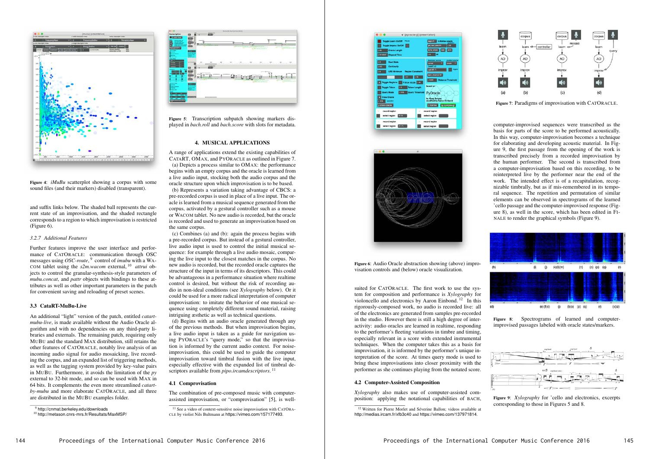

Figure 4: *iMuBu* scatterplot showing a corpus with some sound files (and their markers) disabled (transparent).

and suffix links below. The shaded ball represents the current state of an improvisation, and the shaded rectangle corresponds to a region to which improvisation is restricted (Figure 6).

#### *3.2.7 Additional Features*

Further features improve the user interface and performance of CATORACLE: communication through OSC messages using *OSC-route*, <sup>9</sup> control of *imubu* with a WA-COM tablet using the *s2m.wacom* external, <sup>10</sup> *attrui* objects to control the granular-synthesis-style parameters of *mubu.concat*, and *pattr* objects with bindings to these attributes as well as other important parameters in the patch for convenient saving and reloading of preset scenes.

#### 3.3 CataRT-MuBu-Live

An additional "light" version of the patch, entitled *catartmubu-live*, is made available without the Audio Oracle algorithm and with no dependencies on any third-party libraries and externals. The remaining patch, requiring only MUBU and the standard MAX distribution, still retains the other features of CATORACLE, notably live analysis of an incoming audio signal for audio mosaicking, live recording the corpus, and an expanded list of triggering methods, as well as the tagging system provided by key-value pairs in MUBU. Furthermore, it avoids the limitation of the *py* external to 32-bit mode, and so can be used with MAX in 64 bits. It complements the even more streamlined *catartby-mubu* and more elaborate CATORACLE, and all three are distributed in the MUBU examples folder.



(d) Begins with an audio oracle generated through any of the previous methods. But when improvisation begins, a live audio input is taken as a guide for navigation using PYORACLE's "query mode," so that the improvisation is informed by the current audio context. For noiseimprovisation, this could be used to guide the computer improvisation toward timbral fusion with the live input, especially effective with the expanded list of timbral descriptors available from *pipo.ircamdescriptors*.<sup>11</sup>

Figure 5: Transcription subpatch showing markers displayed in *bach.roll* and *bach.score* with slots for metadata.

#### 4. MUSICAL APPLICATIONS

A range of applications extend the existing capabilities of CATART, OMAX, and PYORACLE as outlined in Figure 7. (a) Depicts a process similar to OMAX: the performance begins with an empty corpus and the oracle is learned from a live audio input, stocking both the audio corpus and the oracle structure upon which improvisation is to be based.





(b) Represents a variation taking advantage of CBCS: a pre-recorded corpus is used in place of a live input. The oracle is learned from a musical sequence generated from the corpus, activated by a gestural controller such as a mouse or WACOM tablet. No new audio is recorded, but the oracle is recorded and used to generate an improvisation based on the same corpus.

(c) Combines (a) and (b): again the process begins with a pre-recorded corpus. But instead of a gestural controller, live audio input is used to control the initial musical sequence: for example through a live audio mosaic, comparing the live input to the closest matches in the corpus. No new audio is recorded, but the recorded oracle captures the structure of the input in terms of its descriptors. This could be advantageous in a performance situation where realtime control is desired, but without the risk of recording audio in non-ideal conditions (see *Xylography* below). Or it could be used for a more radical interpretation of computer improvisation: to imitate the behavior of one musical sequence using completely different sound material, raising intriguing æsthetic as well as technical questions.

#### 4.1 Comprovisation

The combination of pre-composed music with computerassisted improvisation, or "comprovisation" [5], is wellFigure 6: Audio Oracle abstraction showing (above) improvisation controls and (below) oracle visualization.

suited for CATORACLE. The first work to use the system for composition and performance is *Xylography* for violoncello and electronics by Aaron Einbond. <sup>12</sup> In this rigorously-composed work, no audio is recorded live: all of the electronics are generated from samples pre-recorded in the studio. However there is still a high degree of interactivity: audio oracles are learned in realtime, responding to the performer's fleeting variations in timbre and timing, especially relevant in a score with extended instrumental techniques. When the computer takes this as a basis for improvisation, it is informed by the performer's unique interpretation of the score. At times query mode is used to bring these improvisations into closer proximity with the performer as she continues playing from the notated score.

#### 4.2 Computer-Assisted Composition

*Xylography* also makes use of computer-assisted composition: applying the notational capabilities of BACH,



Figure 7: Paradigms of improvisation with CATORACLE.

computer-improvised sequences were transcribed as the basis for parts of the score to be performed acoustically. In this way, computer-improvisation becomes a technique for elaborating and developing acoustic material. In Figure 9, the first passage from the opening of the work is transcribed precisely from a recorded improvisation by the human performer. The second is transcribed from a computer-improvisation based on this recording, to be reinterpreted live by the performer near the end of the work. The intended effect is of a recapitulation, recognizable timbrally, but as if mis-remembered in its temporal sequence. The repetition and permutation of similar elements can be observed in spectrograms of the learned 'cello passage and the computer-improvised response (Figure 8), as well in the score, which has been edited in FI-NALE to render the graphical symbols (Figure 9).



Figure 8: Spectrograms of learned and computerimprovised passages labeled with oracle states/markers.



Figure 9: *Xylography* for 'cello and electronics, excerpts corresponding to those in Figures 5 and 8.

<sup>9</sup> http://cnmat.berkeley.edu/downloads

<sup>10</sup> http://metason.cnrs-mrs.fr/Resultats/MaxMSP/

 $11$  See a video of context-sensitive noise improvisation with CATORA-CLE by violist Nils Bultmann at https://vimeo.com/157177493.

<sup>&</sup>lt;sup>12</sup> Written for Pierre Morlet and Séverine Ballon; videos available at http://medias.ircam.fr/xfb3c40 and https://vimeo.com/137971814.